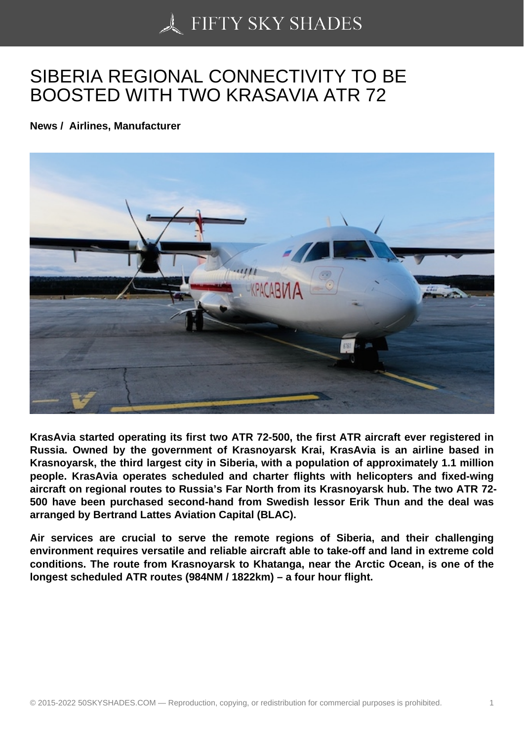## [SIBERIA REGIONAL C](https://50skyshades.com)ONNECTIVITY TO BE BOOSTED WITH TWO KRASAVIA ATR 72

News / Airlines, Manufacturer

KrasAvia started operating its first two ATR 72-500, the first ATR aircraft ever registered in Russia. Owned by the government of Krasnoyarsk Krai, KrasAvia is an airline based in Krasnoyarsk, the third largest city in Siberia, with a population of approximately 1.1 million people. KrasAvia operates scheduled and charter flights with helicopters and fixed-wing aircraft on regional routes to Russia's Far North from its Krasnoyarsk hub. The two ATR 72- 500 have been purchased second-hand from Swedish lessor Erik Thun and the deal was arranged by Bertrand Lattes Aviation Capital (BLAC).

Air services are crucial to serve the remote regions of Siberia, and their challenging environment requires versatile and reliable aircraft able to take-off and land in extreme cold conditions. The route from Krasnoyarsk to Khatanga, near the Arctic Ocean, is one of the longest scheduled ATR routes (984NM / 1822km) – a four hour flight.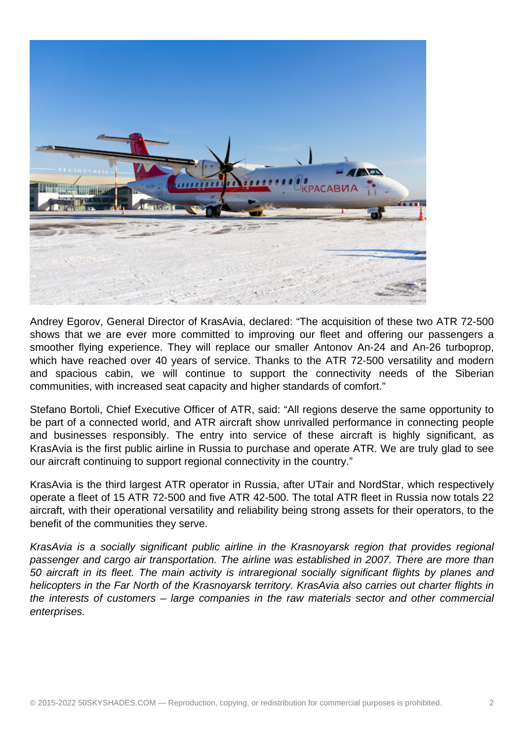

Andrey Egorov, General Director of KrasAvia, declared: "The acquisition of these two ATR 72-500 shows that we are ever more committed to improving our fleet and offering our passengers a smoother flying experience. They will replace our smaller Antonov An-24 and An-26 turboprop, which have reached over 40 years of service. Thanks to the ATR 72-500 versatility and modern and spacious cabin, we will continue to support the connectivity needs of the Siberian communities, with increased seat capacity and higher standards of comfort."

Stefano Bortoli, Chief Executive Officer of ATR, said: "All regions deserve the same opportunity to be part of a connected world, and ATR aircraft show unrivalled performance in connecting people and businesses responsibly. The entry into service of these aircraft is highly significant, as KrasAvia is the first public airline in Russia to purchase and operate ATR. We are truly glad to see our aircraft continuing to support regional connectivity in the country."

KrasAvia is the third largest ATR operator in Russia, after UTair and NordStar, which respectively operate a fleet of 15 ATR 72-500 and five ATR 42-500. The total ATR fleet in Russia now totals 22 aircraft, with their operational versatility and reliability being strong assets for their operators, to the benefit of the communities they serve.

KrasAvia is a socially significant public airline in the Krasnoyarsk region that provides regional passenger and cargo air transportation. The airline was established in 2007. There are more than 50 aircraft in its fleet. The main activity is intraregional socially significant flights by planes and helicopters in the Far North of the Krasnoyarsk territory. KrasAvia also carries out charter flights in the interests of customers – large companies in the raw materials sector and other commercial enterprises.